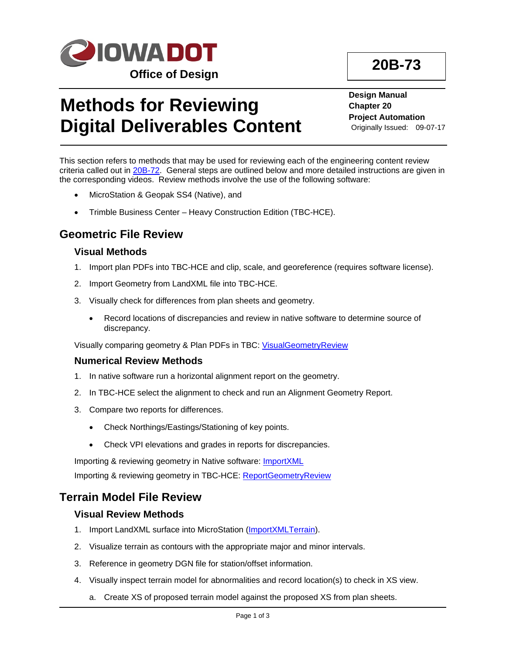

# **Methods for Reviewing Digital Deliverables Content**

**Design Manual Chapter 20 Project Automation** Originally Issued: 09-07-17

This section refers to methods that may be used for reviewing each of the engineering content review criteria called out in 20B-72. General steps are outlined below and more detailed instructions are given in the corresponding videos. Review methods involve the use of the following software:

- MicroStation & Geopak SS4 (Native), and
- Trimble Business Center Heavy Construction Edition (TBC-HCE).

# **Geometric File Review**

#### **Visual Methods**

- 1. Import plan PDFs into TBC-HCE and clip, scale, and georeference (requires software license).
- 2. Import Geometry from LandXML file into TBC-HCE.
- 3. Visually check for differences from plan sheets and geometry.
	- Record locations of discrepancies and review in native software to determine source of discrepancy.

Visually comparing geometry & Plan PDFs in TBC: VisualGeometryReview

#### **Numerical Review Methods**

- 1. In native software run a horizontal alignment report on the geometry.
- 2. In TBC-HCE select the alignment to check and run an Alignment Geometry Report.
- 3. Compare two reports for differences.
	- Check Northings/Eastings/Stationing of key points.
	- Check VPI elevations and grades in reports for discrepancies.

Importing & reviewing geometry in Native software: ImportXML

Importing & reviewing geometry in TBC-HCE: ReportGeometryReview

## **Terrain Model File Review**

#### **Visual Review Methods**

- 1. Import LandXML surface into MicroStation (ImportXMLTerrain).
- 2. Visualize terrain as contours with the appropriate major and minor intervals.
- 3. Reference in geometry DGN file for station/offset information.
- 4. Visually inspect terrain model for abnormalities and record location(s) to check in XS view.
	- a. Create XS of proposed terrain model against the proposed XS from plan sheets.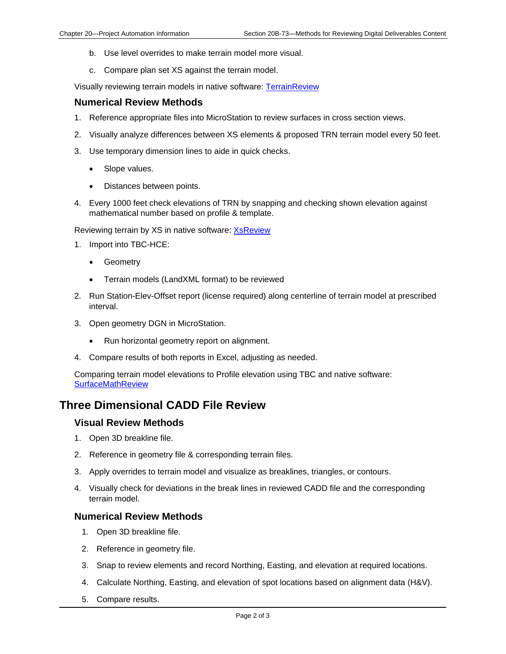- b. Use level overrides to make terrain model more visual.
- c. Compare plan set XS against the terrain model.

Visually reviewing terrain models in native software: TerrainReview

#### **Numerical Review Methods**

- 1. Reference appropriate files into MicroStation to review surfaces in cross section views.
- 2. Visually analyze differences between XS elements & proposed TRN terrain model every 50 feet.
- 3. Use temporary dimension lines to aide in quick checks.
	- Slope values.
	- Distances between points.
- 4. Every 1000 feet check elevations of TRN by snapping and checking shown elevation against mathematical number based on profile & template.

Reviewing terrain by XS in native software: **XsReview** 

- 1. Import into TBC-HCE:
	- Geometry
	- Terrain models (LandXML format) to be reviewed
- 2. Run Station-Elev-Offset report (license required) along centerline of terrain model at prescribed interval.
- 3. Open geometry DGN in MicroStation.
	- Run horizontal geometry report on alignment.
- 4. Compare results of both reports in Excel, adjusting as needed.

Comparing terrain model elevations to Profile elevation using TBC and native software: **SurfaceMathReview** 

## **Three Dimensional CADD File Review**

#### **Visual Review Methods**

- 1. Open 3D breakline file.
- 2. Reference in geometry file & corresponding terrain files.
- 3. Apply overrides to terrain model and visualize as breaklines, triangles, or contours.
- 4. Visually check for deviations in the break lines in reviewed CADD file and the corresponding terrain model.

#### **Numerical Review Methods**

- 1. Open 3D breakline file.
- 2. Reference in geometry file.
- 3. Snap to review elements and record Northing, Easting, and elevation at required locations.
- 4. Calculate Northing, Easting, and elevation of spot locations based on alignment data (H&V).
- 5. Compare results.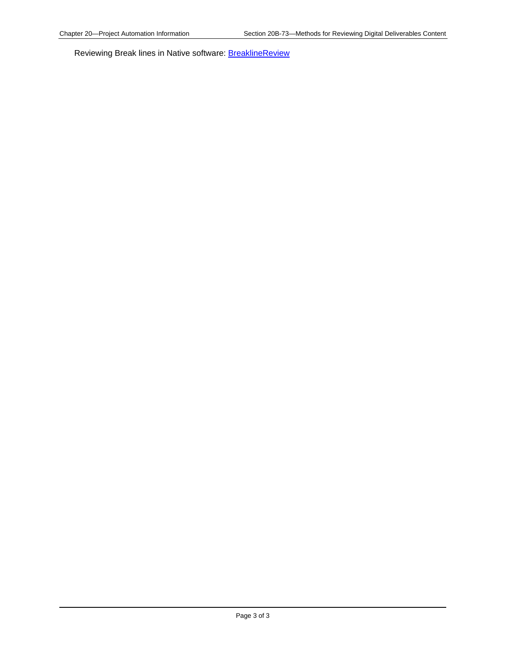Reviewing Break lines in Native software: **BreaklineReview**